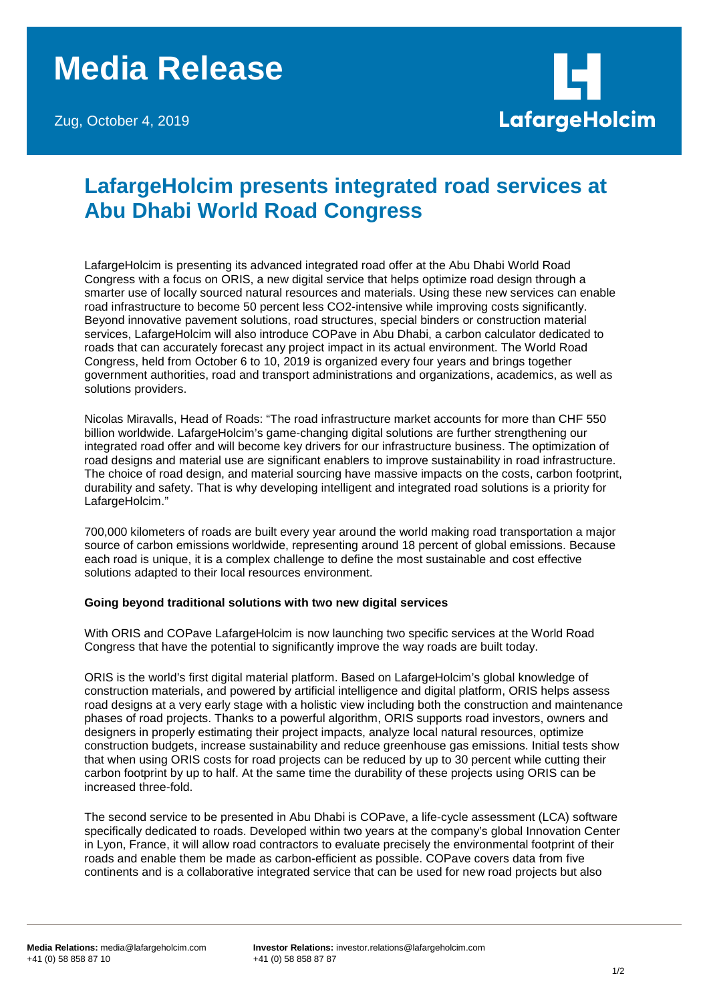## **Media Release**

Zug, October 4, 2019



## **LafargeHolcim presents integrated road services at Abu Dhabi World Road Congress**

LafargeHolcim is presenting its advanced integrated road offer at the Abu Dhabi World Road Congress with a focus on ORIS, a new digital service that helps optimize road design through a smarter use of locally sourced natural resources and materials. Using these new services can enable road infrastructure to become 50 percent less CO2-intensive while improving costs significantly. Beyond innovative pavement solutions, road structures, special binders or construction material services, LafargeHolcim will also introduce COPave in Abu Dhabi, a carbon calculator dedicated to roads that can accurately forecast any project impact in its actual environment. The World Road Congress, held from October 6 to 10, 2019 is organized every four years and brings together government authorities, road and transport administrations and organizations, academics, as well as solutions providers.

Nicolas Miravalls, Head of Roads: "The road infrastructure market accounts for more than CHF 550 billion worldwide. LafargeHolcim's game-changing digital solutions are further strengthening our integrated road offer and will become key drivers for our infrastructure business. The optimization of road designs and material use are significant enablers to improve sustainability in road infrastructure. The choice of road design, and material sourcing have massive impacts on the costs, carbon footprint, durability and safety. That is why developing intelligent and integrated road solutions is a priority for LafargeHolcim."

700,000 kilometers of roads are built every year around the world making road transportation a major source of carbon emissions worldwide, representing around 18 percent of global emissions. Because each road is unique, it is a complex challenge to define the most sustainable and cost effective solutions adapted to their local resources environment.

## **Going beyond traditional solutions with two new digital services**

With ORIS and COPave LafargeHolcim is now launching two specific services at the World Road Congress that have the potential to significantly improve the way roads are built today.

ORIS is the world's first digital material platform. Based on LafargeHolcim's global knowledge of construction materials, and powered by artificial intelligence and digital platform, ORIS helps assess road designs at a very early stage with a holistic view including both the construction and maintenance phases of road projects. Thanks to a powerful algorithm, ORIS supports road investors, owners and designers in properly estimating their project impacts, analyze local natural resources, optimize construction budgets, increase sustainability and reduce greenhouse gas emissions. Initial tests show that when using ORIS costs for road projects can be reduced by up to 30 percent while cutting their carbon footprint by up to half. At the same time the durability of these projects using ORIS can be increased three-fold.

The second service to be presented in Abu Dhabi is COPave, a life-cycle assessment (LCA) software specifically dedicated to roads. Developed within two years at the company's global Innovation Center in Lyon, France, it will allow road contractors to evaluate precisely the environmental footprint of their roads and enable them be made as carbon-efficient as possible. COPave covers data from five continents and is a collaborative integrated service that can be used for new road projects but also